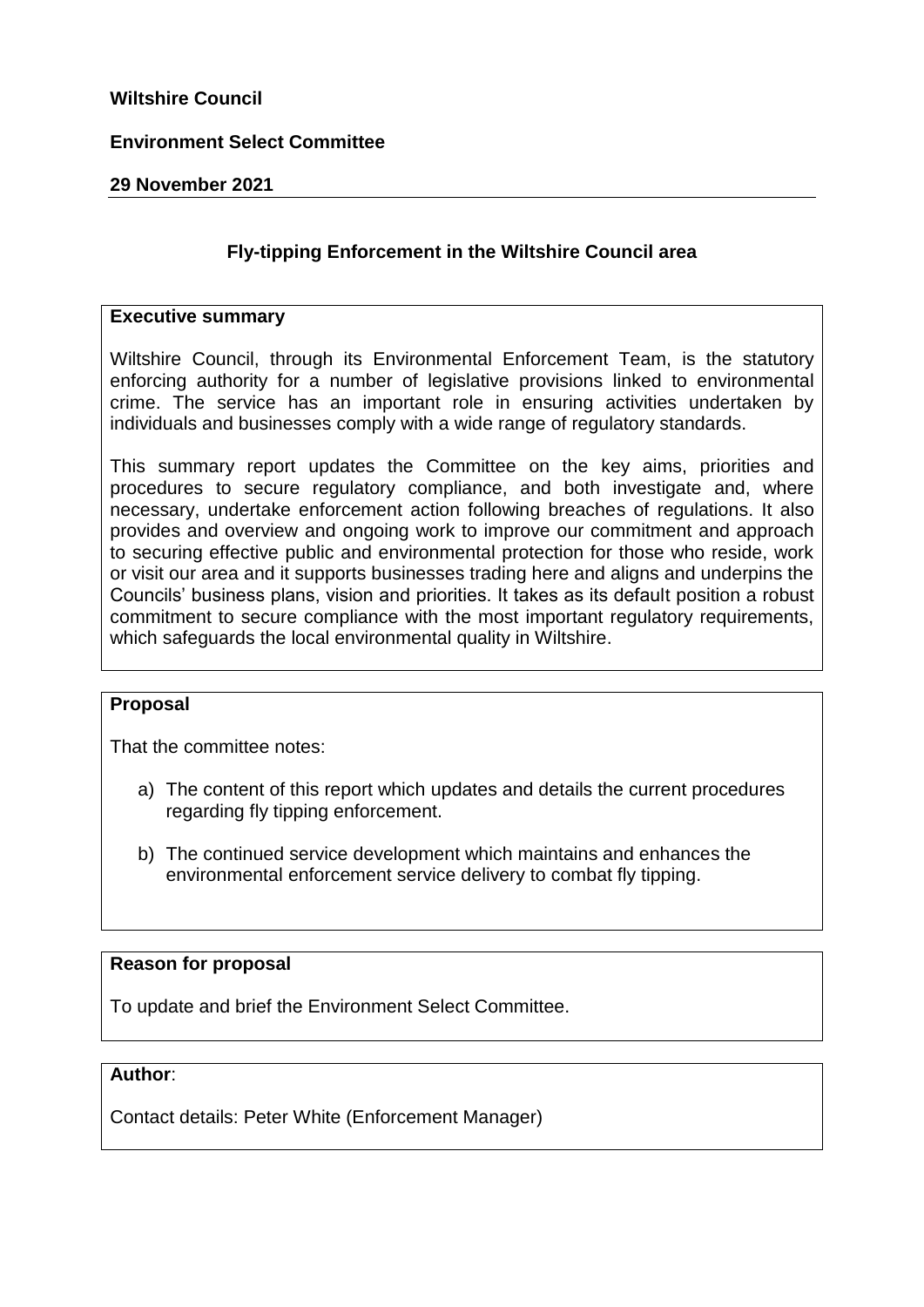### **Wiltshire Council**

### **Environment Select Committee**

#### **29 November 2021**

### **Fly-tipping Enforcement in the Wiltshire Council area**

#### **Executive summary**

Wiltshire Council, through its Environmental Enforcement Team, is the statutory enforcing authority for a number of legislative provisions linked to environmental crime. The service has an important role in ensuring activities undertaken by individuals and businesses comply with a wide range of regulatory standards.

This summary report updates the Committee on the key aims, priorities and procedures to secure regulatory compliance, and both investigate and, where necessary, undertake enforcement action following breaches of regulations. It also provides and overview and ongoing work to improve our commitment and approach to securing effective public and environmental protection for those who reside, work or visit our area and it supports businesses trading here and aligns and underpins the Councils' business plans, vision and priorities. It takes as its default position a robust commitment to secure compliance with the most important regulatory requirements, which safeguards the local environmental quality in Wiltshire.

#### **Proposal**

That the committee notes:

- a) The content of this report which updates and details the current procedures regarding fly tipping enforcement.
- b) The continued service development which maintains and enhances the environmental enforcement service delivery to combat fly tipping.

### **Reason for proposal**

To update and brief the Environment Select Committee.

#### **Author**:

Contact details: Peter White (Enforcement Manager)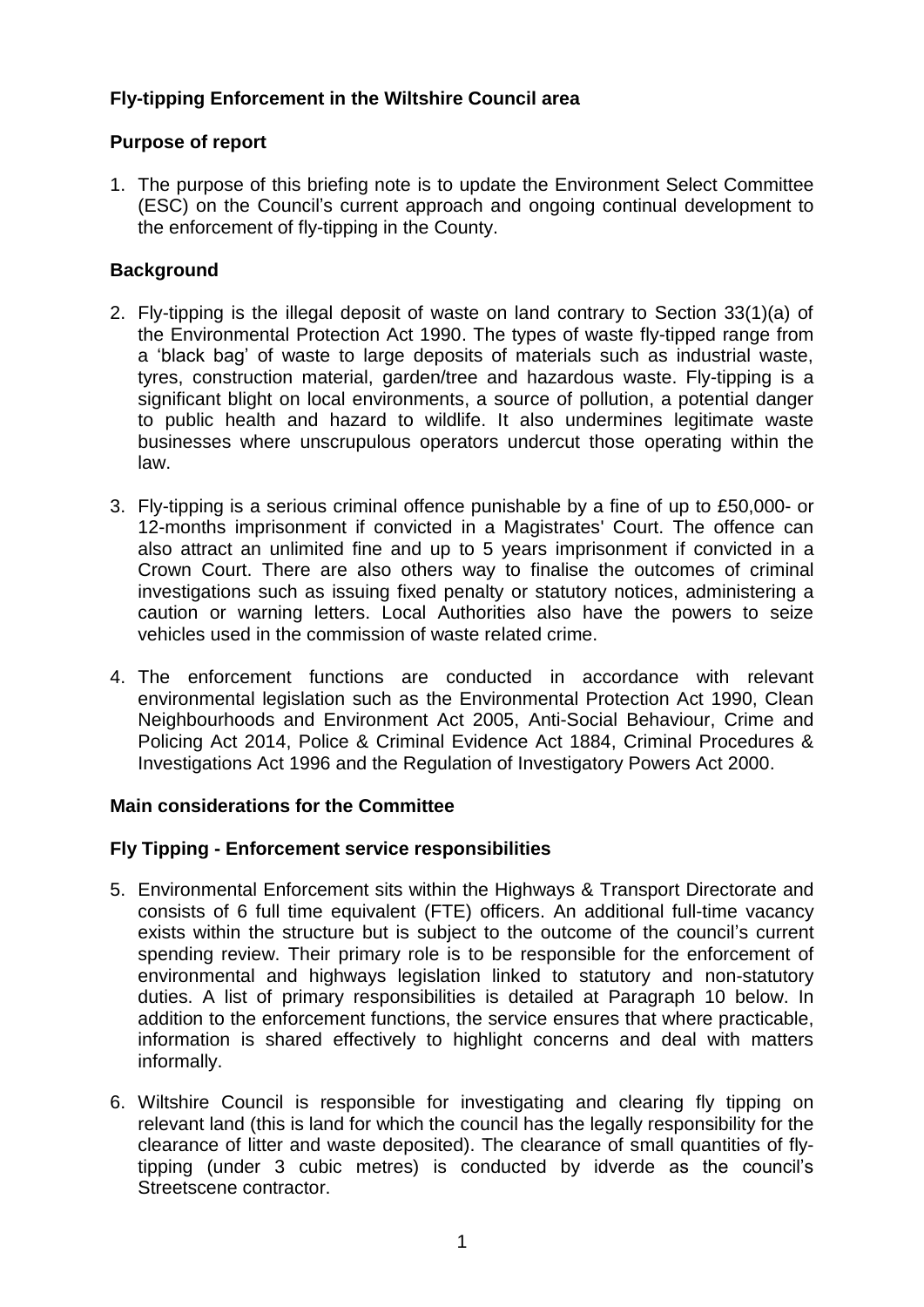# **Fly-tipping Enforcement in the Wiltshire Council area**

## **Purpose of report**

1. The purpose of this briefing note is to update the Environment Select Committee (ESC) on the Council's current approach and ongoing continual development to the enforcement of fly-tipping in the County.

# **Background**

- 2. Fly-tipping is the illegal deposit of waste on land contrary to Section 33(1)(a) of the [Environmental Protection Act 1990.](http://www.legislation.gov.uk/ukpga/1990/43/contents) The types of waste fly-tipped range from a 'black bag' of waste to large deposits of materials such as industrial waste, tyres, construction material, garden/tree and hazardous waste. Fly-tipping is a significant blight on local environments, a source of pollution, a potential danger to public health and hazard to wildlife. It also undermines legitimate waste businesses where unscrupulous operators undercut those operating within the law.
- 3. Fly-tipping is a serious criminal offence punishable by a fine of up to £50,000- or 12-months imprisonment if convicted in a Magistrates' Court. The offence can also attract an unlimited fine and up to 5 years imprisonment if convicted in a Crown Court. There are also others way to finalise the outcomes of criminal investigations such as issuing fixed penalty or statutory notices, administering a caution or warning letters. Local Authorities also have the powers to seize vehicles used in the commission of waste related crime.
- 4. The enforcement functions are conducted in accordance with relevant environmental legislation such as the Environmental Protection Act 1990, Clean Neighbourhoods and Environment Act 2005, Anti-Social Behaviour, Crime and Policing Act 2014, Police & Criminal Evidence Act 1884, Criminal Procedures & Investigations Act 1996 and the Regulation of Investigatory Powers Act 2000.

## **Main considerations for the Committee**

## **Fly Tipping - Enforcement service responsibilities**

- 5. Environmental Enforcement sits within the Highways & Transport Directorate and consists of 6 full time equivalent (FTE) officers. An additional full-time vacancy exists within the structure but is subject to the outcome of the council's current spending review. Their primary role is to be responsible for the enforcement of environmental and highways legislation linked to statutory and non-statutory duties. A list of primary responsibilities is detailed at Paragraph 10 below. In addition to the enforcement functions, the service ensures that where practicable, information is shared effectively to highlight concerns and deal with matters informally.
- 6. Wiltshire Council is responsible for investigating and clearing fly tipping on relevant land (this is land for which the council has the legally responsibility for the clearance of litter and waste deposited). The clearance of small quantities of flytipping (under 3 cubic metres) is conducted by idverde as the council's Streetscene contractor.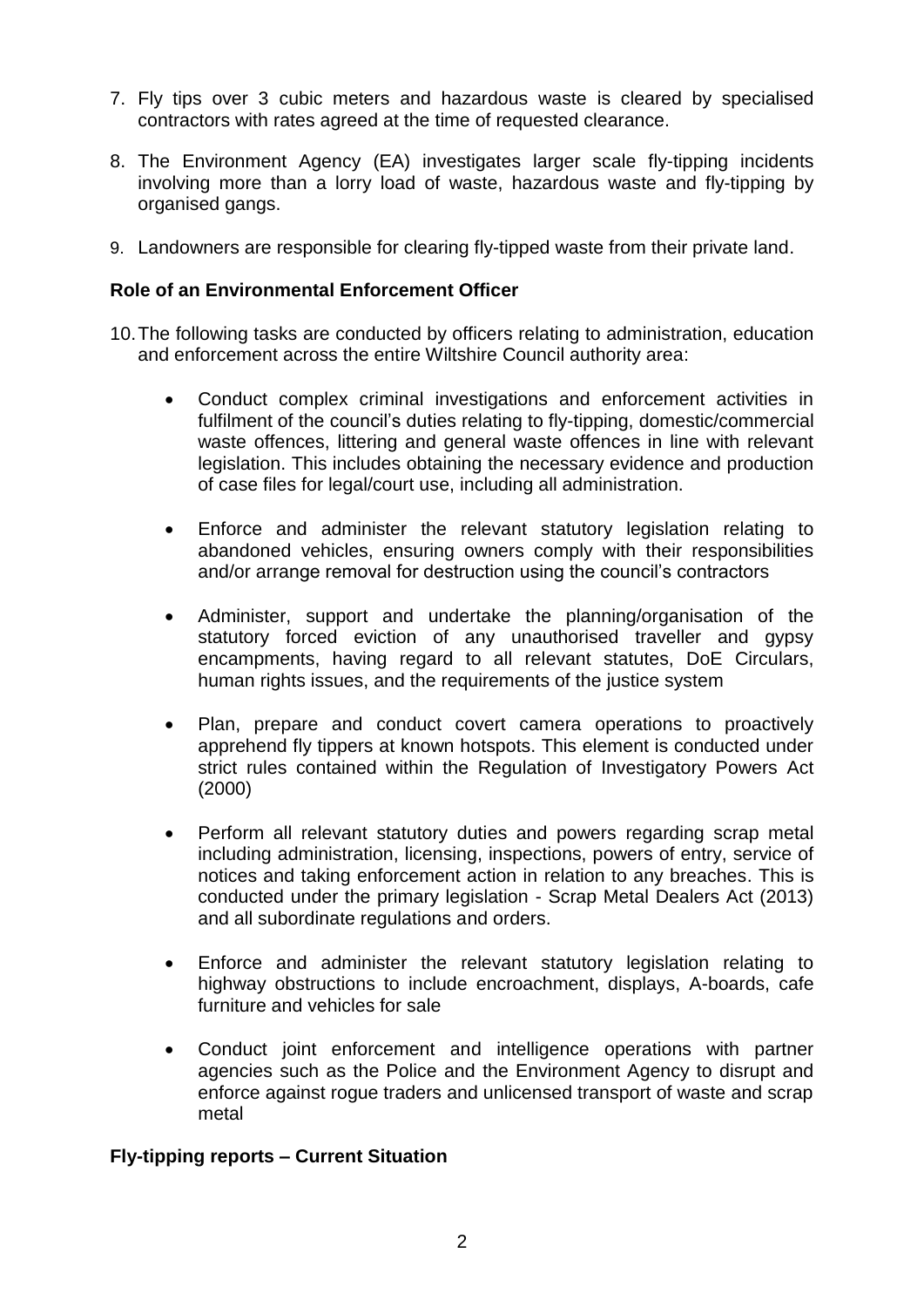- 7. Fly tips over 3 cubic meters and hazardous waste is cleared by specialised contractors with rates agreed at the time of requested clearance.
- 8. [The Environment Agency](https://www.gov.uk/government/organisations/environment-agency) (EA) investigates larger scale fly-tipping incidents involving more than a lorry load of waste, hazardous waste and fly-tipping by organised gangs.
- 9. Landowners are responsible for clearing fly-tipped waste from their private land.

### **Role of an Environmental Enforcement Officer**

- 10.The following tasks are conducted by officers relating to administration, education and enforcement across the entire Wiltshire Council authority area:
	- Conduct complex criminal investigations and enforcement activities in fulfilment of the council's duties relating to fly-tipping, domestic/commercial waste offences, littering and general waste offences in line with relevant legislation. This includes obtaining the necessary evidence and production of case files for legal/court use, including all administration.
	- Enforce and administer the relevant statutory legislation relating to abandoned vehicles, ensuring owners comply with their responsibilities and/or arrange removal for destruction using the council's contractors
	- Administer, support and undertake the planning/organisation of the statutory forced eviction of any unauthorised traveller and gypsy encampments, having regard to all relevant statutes, DoE Circulars, human rights issues, and the requirements of the justice system
	- Plan, prepare and conduct covert camera operations to proactively apprehend fly tippers at known hotspots. This element is conducted under strict rules contained within the Regulation of Investigatory Powers Act (2000)
	- Perform all relevant statutory duties and powers regarding scrap metal including administration, licensing, inspections, powers of entry, service of notices and taking enforcement action in relation to any breaches. This is conducted under the primary legislation - Scrap Metal Dealers Act (2013) and all subordinate regulations and orders.
	- Enforce and administer the relevant statutory legislation relating to highway obstructions to include encroachment, displays, A-boards, cafe furniture and vehicles for sale
	- Conduct joint enforcement and intelligence operations with partner agencies such as the Police and the Environment Agency to disrupt and enforce against rogue traders and unlicensed transport of waste and scrap metal

### **Fly-tipping reports – Current Situation**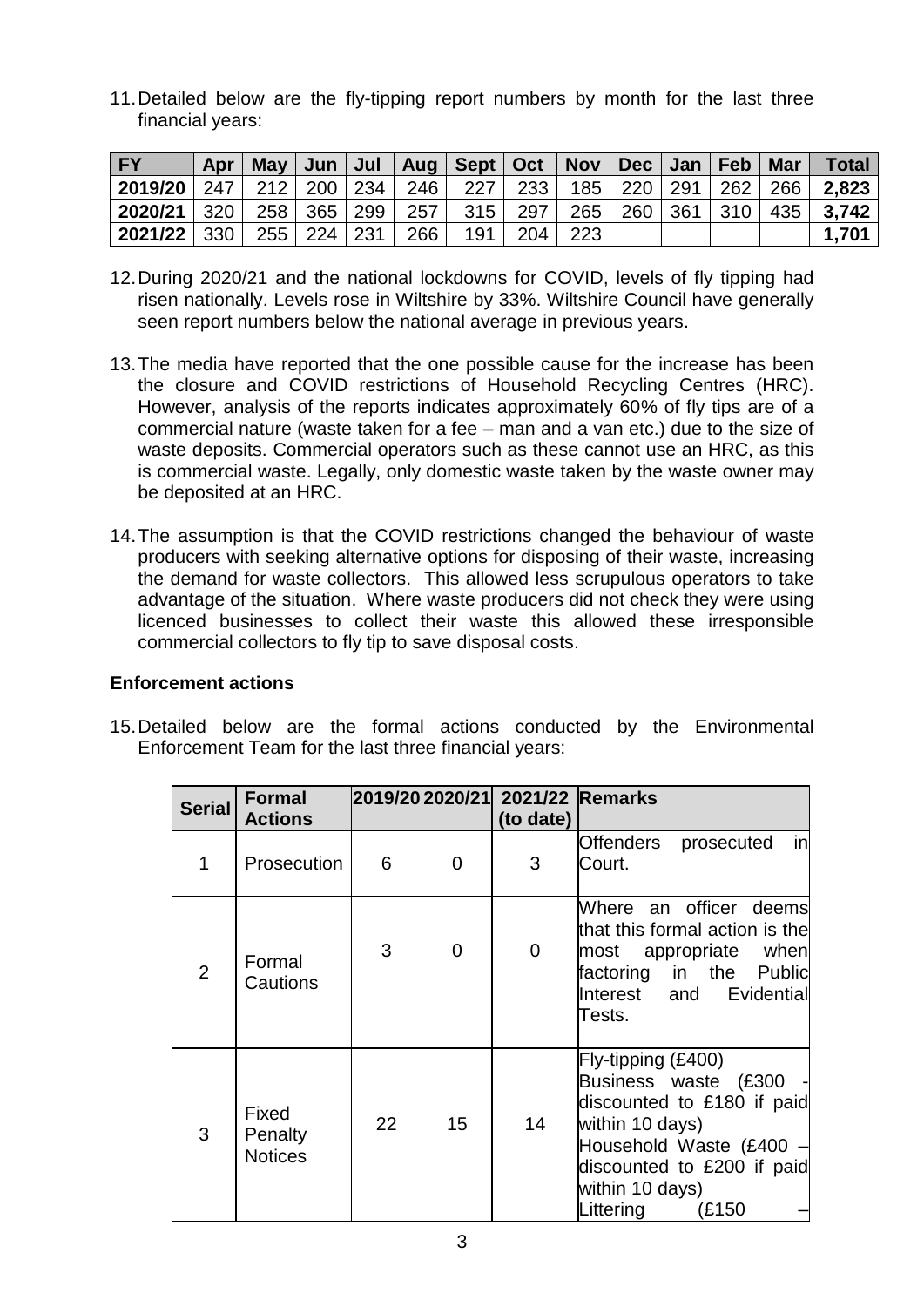11.Detailed below are the fly-tipping report numbers by month for the last three financial years:

| <b>FY</b>                                                                                                    | Apr |  |  | May   Jun   Jul   Aug   Sept   Oct   Nov   Dec   Jan   Feb   Mar |  |  |  | Total           |
|--------------------------------------------------------------------------------------------------------------|-----|--|--|------------------------------------------------------------------|--|--|--|-----------------|
| <b>2019/20</b>   247    212   200   234    246     227    233    185    220   291   262   266   <b>2,823</b> |     |  |  |                                                                  |  |  |  |                 |
| <b>2020/21</b>   320    258   365   299    257     315    297    265   260   361   310   435   <b>3,742</b>  |     |  |  |                                                                  |  |  |  |                 |
| 2021/22   330   255   224   231   266                                                                        |     |  |  | 191   204   223                                                  |  |  |  | $1.70^{\prime}$ |

- 12.During 2020/21 and the national lockdowns for COVID, levels of fly tipping had risen nationally. Levels rose in Wiltshire by 33%. Wiltshire Council have generally seen report numbers below the national average in previous years.
- 13.The media have reported that the one possible cause for the increase has been the closure and COVID restrictions of Household Recycling Centres (HRC). However, analysis of the reports indicates approximately 60% of fly tips are of a commercial nature (waste taken for a fee – man and a van etc.) due to the size of waste deposits. Commercial operators such as these cannot use an HRC, as this is commercial waste. Legally, only domestic waste taken by the waste owner may be deposited at an HRC.
- 14.The assumption is that the COVID restrictions changed the behaviour of waste producers with seeking alternative options for disposing of their waste, increasing the demand for waste collectors. This allowed less scrupulous operators to take advantage of the situation. Where waste producers did not check they were using licenced businesses to collect their waste this allowed these irresponsible commercial collectors to fly tip to save disposal costs.

### **Enforcement actions**

15.Detailed below are the formal actions conducted by the Environmental Enforcement Team for the last three financial years:

| <b>Serial</b>  | <b>Formal</b><br><b>Actions</b>    |    |                | 2019/20 2020/21 2021/22 Remarks<br>(to date) |                                                                                                                                                                                                    |
|----------------|------------------------------------|----|----------------|----------------------------------------------|----------------------------------------------------------------------------------------------------------------------------------------------------------------------------------------------------|
|                | Prosecution                        | 6  | $\overline{0}$ | 3                                            | in<br>Offenders<br>prosecuted<br>Court.                                                                                                                                                            |
| $\overline{2}$ | Formal<br>Cautions                 | 3  | $\overline{0}$ | $\overline{0}$                               | Where an officer deems<br>that this formal action is the<br>most appropriate when<br>factoring in the Public<br>Interest and Evidential<br>Tests.                                                  |
| 3              | Fixed<br>Penalty<br><b>Notices</b> | 22 | 15             | 14                                           | $Fly$ -tipping (£400)<br>Business waste (£300 -<br>discounted to £180 if paid<br>within 10 days)<br>Household Waste (£400 -<br>discounted to £200 if paid<br>within 10 days)<br>Littering<br>(£150 |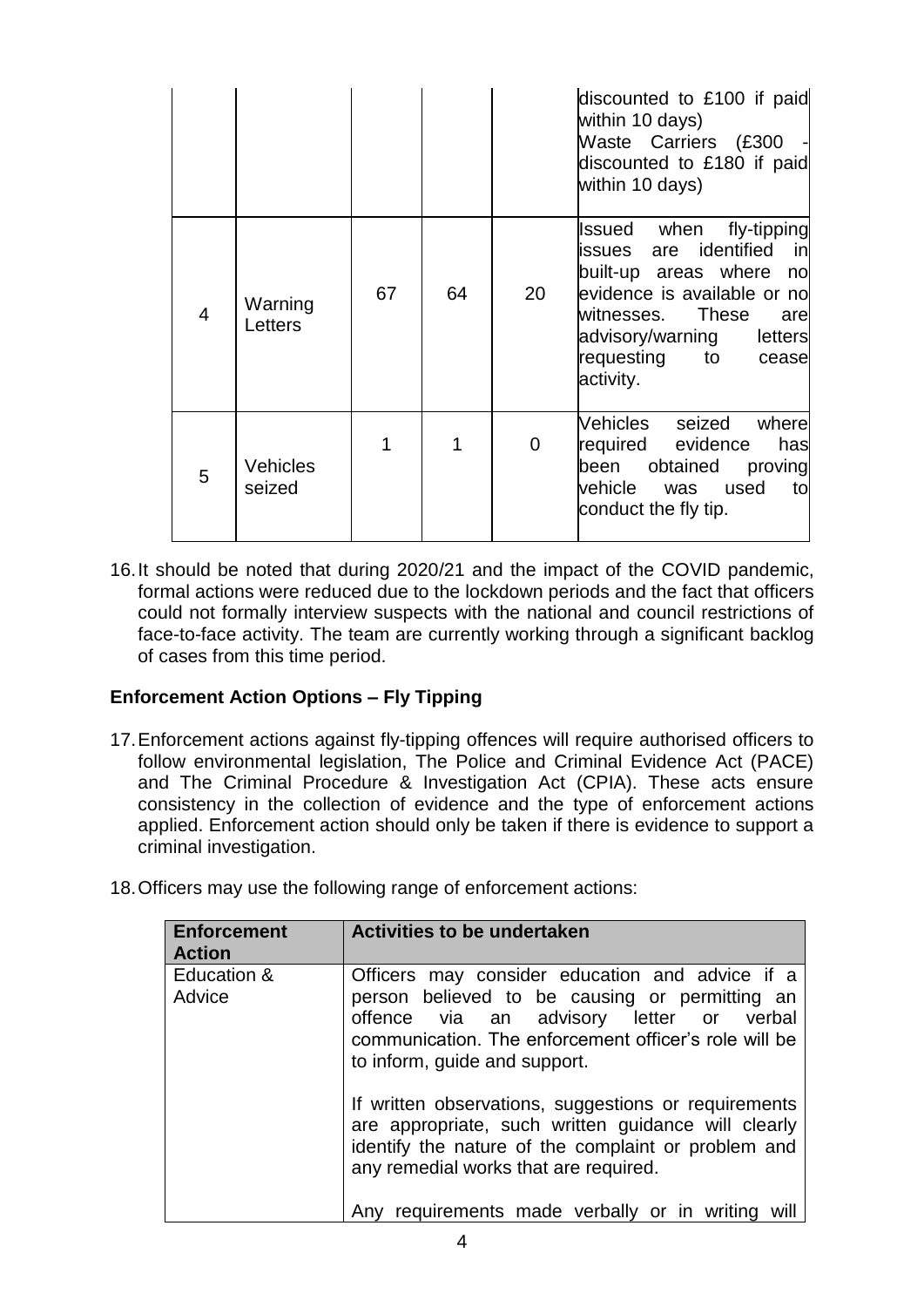|                |                           |    |    |                | discounted to £100 if paid<br>within 10 days)<br>Waste Carriers (£300<br>discounted to £180 if paid<br>within 10 days)                                                                                               |
|----------------|---------------------------|----|----|----------------|----------------------------------------------------------------------------------------------------------------------------------------------------------------------------------------------------------------------|
| $\overline{4}$ | Warning<br>Letters        | 67 | 64 | 20             | fly-tipping<br>Issued when<br>are identified in<br>issues<br>built-up areas where no<br>evidence is available or no<br>witnesses. These<br>are<br>advisory/warning<br>letters<br>requesting to<br>cease<br>activity. |
| 5              | <b>Vehicles</b><br>seized | 1  | 1  | $\overline{0}$ | Vehicles seized<br>where<br>required evidence<br>has<br>obtained<br>been<br>proving<br>vehicle was<br>used<br>to<br>conduct the fly tip.                                                                             |

16.It should be noted that during 2020/21 and the impact of the COVID pandemic, formal actions were reduced due to the lockdown periods and the fact that officers could not formally interview suspects with the national and council restrictions of face-to-face activity. The team are currently working through a significant backlog of cases from this time period.

## **Enforcement Action Options – Fly Tipping**

- 17.Enforcement actions against fly-tipping offences will require authorised officers to follow environmental legislation, The Police and Criminal Evidence Act (PACE) and The Criminal Procedure & Investigation Act (CPIA). These acts ensure consistency in the collection of evidence and the type of enforcement actions applied. Enforcement action should only be taken if there is evidence to support a criminal investigation.
- 18.Officers may use the following range of enforcement actions:

| Enforcement<br><b>Activities to be undertaken</b>                                                                                                                                                                                                      |
|--------------------------------------------------------------------------------------------------------------------------------------------------------------------------------------------------------------------------------------------------------|
| Education &<br>Officers may consider education and advice if a<br>person believed to be causing or permitting an<br>offence via an advisory letter or verbal<br>communication. The enforcement officer's role will be<br>to inform, guide and support. |
| If written observations, suggestions or requirements<br>are appropriate, such written guidance will clearly<br>identify the nature of the complaint or problem and<br>any remedial works that are required.                                            |
| Any requirements made verbally or in writing will                                                                                                                                                                                                      |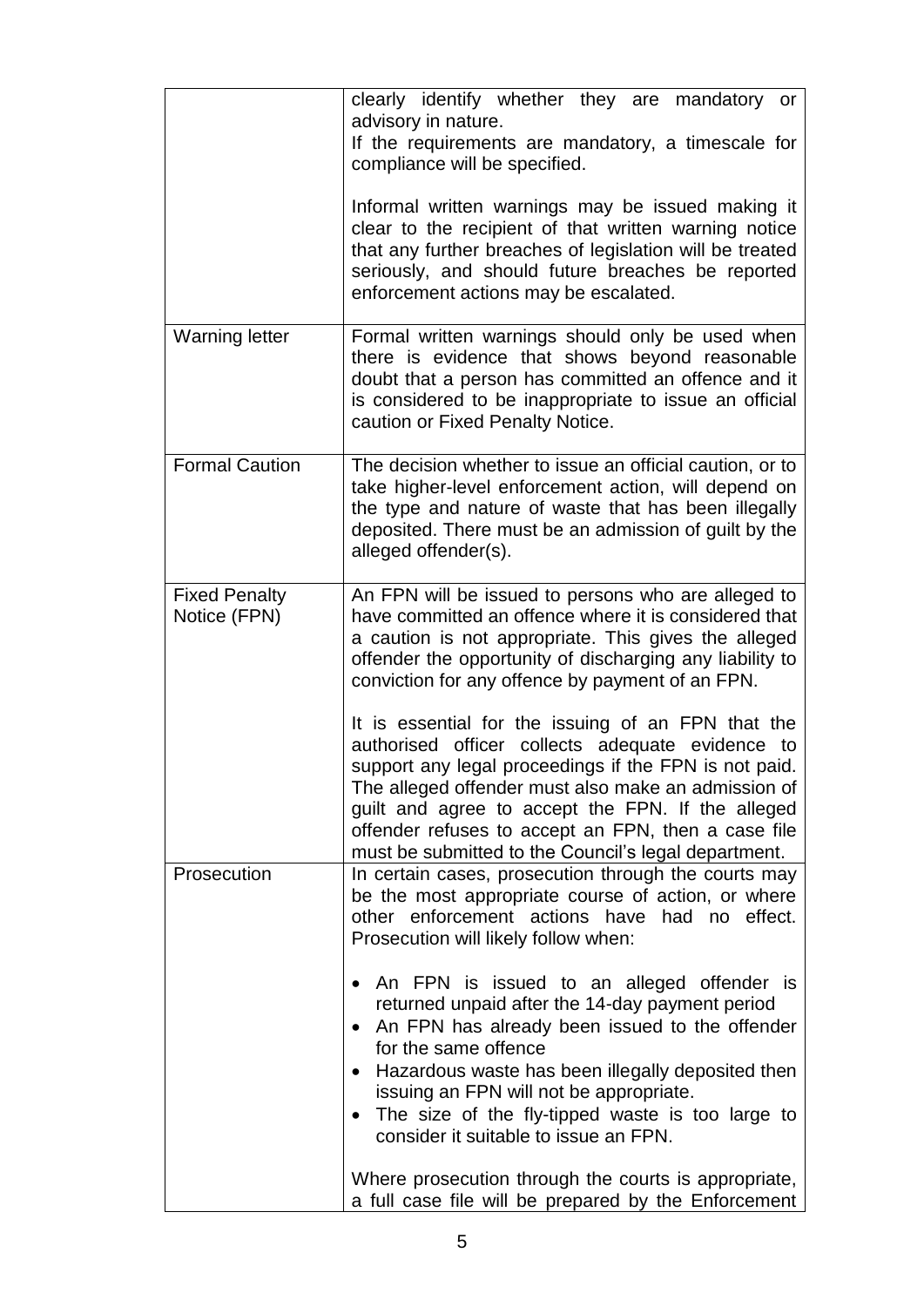|                                      | clearly identify whether they are mandatory or<br>advisory in nature.<br>If the requirements are mandatory, a timescale for<br>compliance will be specified.<br>Informal written warnings may be issued making it<br>clear to the recipient of that written warning notice<br>that any further breaches of legislation will be treated<br>seriously, and should future breaches be reported<br>enforcement actions may be escalated.                                                                                                                                                                                                                                                                     |
|--------------------------------------|----------------------------------------------------------------------------------------------------------------------------------------------------------------------------------------------------------------------------------------------------------------------------------------------------------------------------------------------------------------------------------------------------------------------------------------------------------------------------------------------------------------------------------------------------------------------------------------------------------------------------------------------------------------------------------------------------------|
| <b>Warning letter</b>                | Formal written warnings should only be used when<br>there is evidence that shows beyond reasonable<br>doubt that a person has committed an offence and it<br>is considered to be inappropriate to issue an official<br>caution or Fixed Penalty Notice.                                                                                                                                                                                                                                                                                                                                                                                                                                                  |
| <b>Formal Caution</b>                | The decision whether to issue an official caution, or to<br>take higher-level enforcement action, will depend on<br>the type and nature of waste that has been illegally<br>deposited. There must be an admission of guilt by the<br>alleged offender(s).                                                                                                                                                                                                                                                                                                                                                                                                                                                |
| <b>Fixed Penalty</b><br>Notice (FPN) | An FPN will be issued to persons who are alleged to<br>have committed an offence where it is considered that<br>a caution is not appropriate. This gives the alleged<br>offender the opportunity of discharging any liability to<br>conviction for any offence by payment of an FPN.<br>It is essential for the issuing of an FPN that the<br>authorised officer collects adequate evidence to<br>support any legal proceedings if the FPN is not paid.<br>The alleged offender must also make an admission of<br>guilt and agree to accept the FPN. If the alleged<br>offender refuses to accept an FPN, then a case file<br>must be submitted to the Council's legal department.                       |
| Prosecution                          | In certain cases, prosecution through the courts may<br>be the most appropriate course of action, or where<br>other enforcement actions have had no effect.<br>Prosecution will likely follow when:<br>An FPN is issued to an alleged offender is<br>returned unpaid after the 14-day payment period<br>An FPN has already been issued to the offender<br>for the same offence<br>Hazardous waste has been illegally deposited then<br>issuing an FPN will not be appropriate.<br>The size of the fly-tipped waste is too large to<br>$\bullet$<br>consider it suitable to issue an FPN.<br>Where prosecution through the courts is appropriate,<br>a full case file will be prepared by the Enforcement |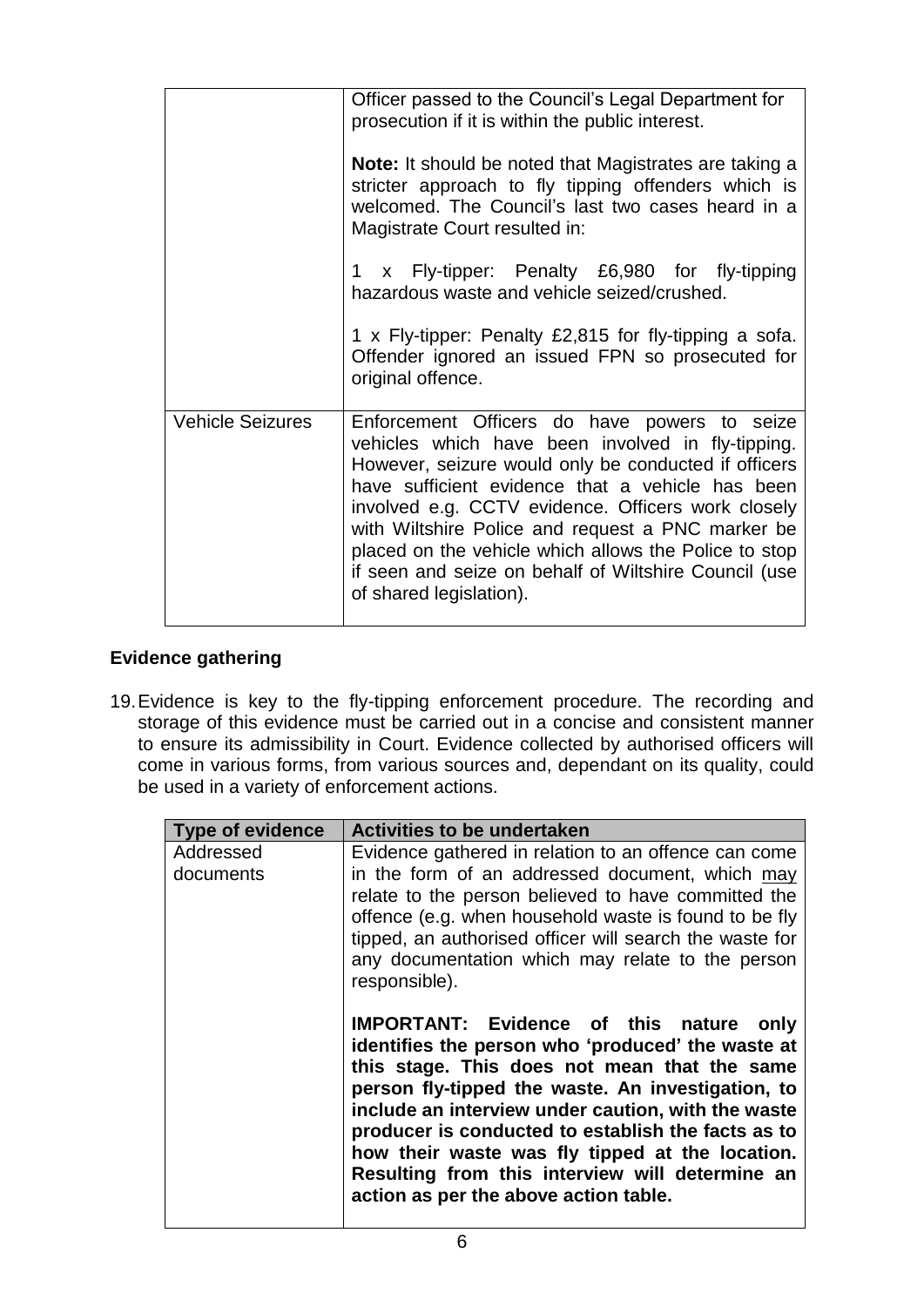|                         | Officer passed to the Council's Legal Department for<br>prosecution if it is within the public interest.<br><b>Note:</b> It should be noted that Magistrates are taking a<br>stricter approach to fly tipping offenders which is<br>welcomed. The Council's last two cases heard in a<br>Magistrate Court resulted in:                                                                                                                                                |
|-------------------------|-----------------------------------------------------------------------------------------------------------------------------------------------------------------------------------------------------------------------------------------------------------------------------------------------------------------------------------------------------------------------------------------------------------------------------------------------------------------------|
|                         | 1 x Fly-tipper: Penalty £6,980 for fly-tipping<br>hazardous waste and vehicle seized/crushed.<br>1 x Fly-tipper: Penalty £2,815 for fly-tipping a sofa.<br>Offender ignored an issued FPN so prosecuted for<br>original offence.                                                                                                                                                                                                                                      |
| <b>Vehicle Seizures</b> | Enforcement Officers do have powers to seize<br>vehicles which have been involved in fly-tipping.<br>However, seizure would only be conducted if officers<br>have sufficient evidence that a vehicle has been<br>involved e.g. CCTV evidence. Officers work closely<br>with Wiltshire Police and request a PNC marker be<br>placed on the vehicle which allows the Police to stop<br>if seen and seize on behalf of Wiltshire Council (use<br>of shared legislation). |

# **Evidence gathering**

19.Evidence is key to the fly-tipping enforcement procedure. The recording and storage of this evidence must be carried out in a concise and consistent manner to ensure its admissibility in Court. Evidence collected by authorised officers will come in various forms, from various sources and, dependant on its quality, could be used in a variety of enforcement actions.

| <b>Type of evidence</b> | <b>Activities to be undertaken</b>                                                                                                                                                                                                                                                                                                                                                                                                                                     |
|-------------------------|------------------------------------------------------------------------------------------------------------------------------------------------------------------------------------------------------------------------------------------------------------------------------------------------------------------------------------------------------------------------------------------------------------------------------------------------------------------------|
| Addressed<br>documents  | Evidence gathered in relation to an offence can come<br>in the form of an addressed document, which may<br>relate to the person believed to have committed the<br>offence (e.g. when household waste is found to be fly<br>tipped, an authorised officer will search the waste for<br>any documentation which may relate to the person<br>responsible).                                                                                                                |
|                         | <b>IMPORTANT: Evidence of this nature</b><br>only<br>identifies the person who 'produced' the waste at<br>this stage. This does not mean that the same<br>person fly-tipped the waste. An investigation, to<br>include an interview under caution, with the waste<br>producer is conducted to establish the facts as to<br>how their waste was fly tipped at the location.<br>Resulting from this interview will determine an<br>action as per the above action table. |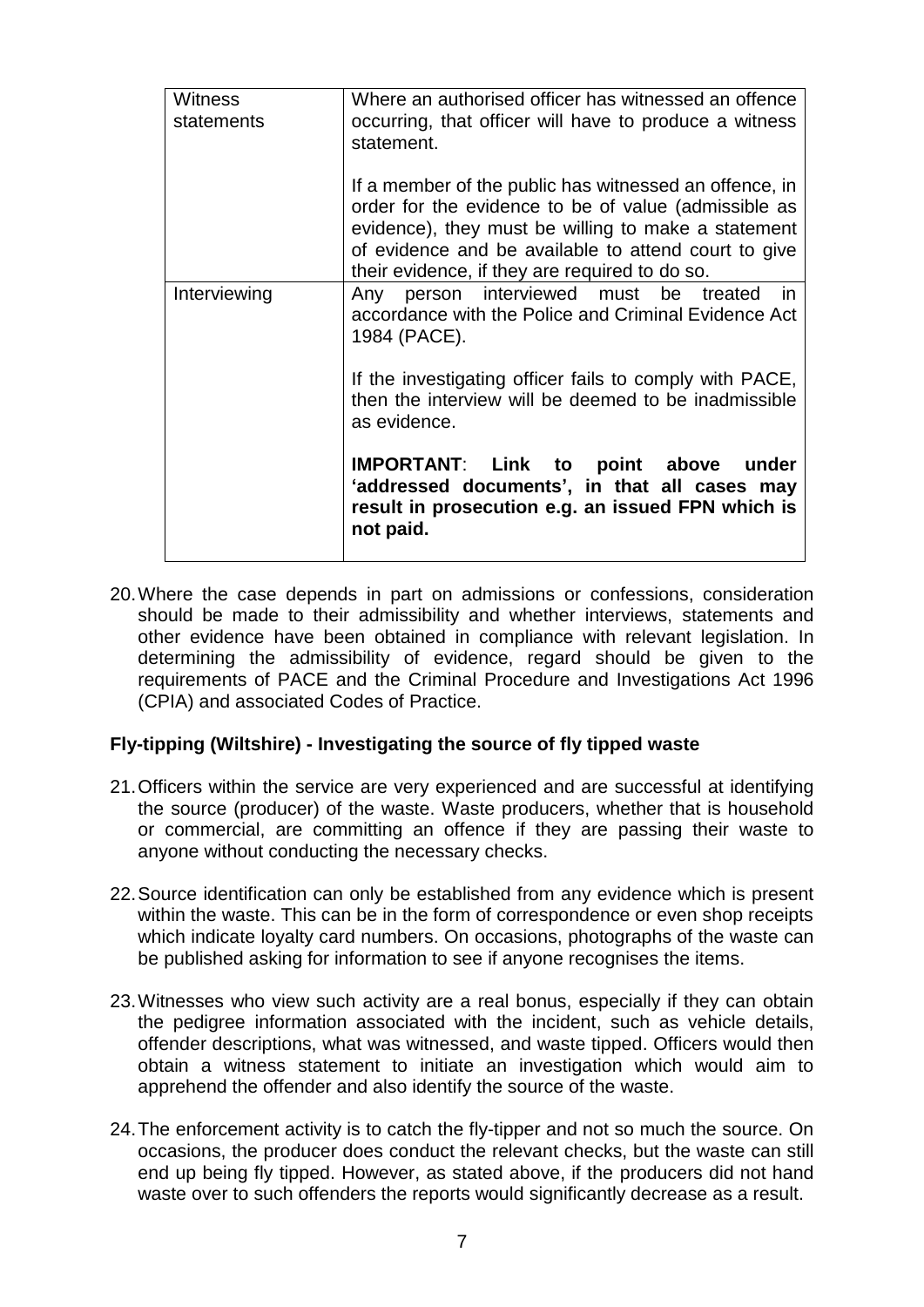| Witness<br>statements | Where an authorised officer has witnessed an offence<br>occurring, that officer will have to produce a witness<br>statement.                                                                                                                                                    |
|-----------------------|---------------------------------------------------------------------------------------------------------------------------------------------------------------------------------------------------------------------------------------------------------------------------------|
|                       | If a member of the public has witnessed an offence, in<br>order for the evidence to be of value (admissible as<br>evidence), they must be willing to make a statement<br>of evidence and be available to attend court to give<br>their evidence, if they are required to do so. |
| Interviewing          | Any person interviewed must<br>be treated<br><i>in</i><br>accordance with the Police and Criminal Evidence Act<br>1984 (PACE).                                                                                                                                                  |
|                       | If the investigating officer fails to comply with PACE,<br>then the interview will be deemed to be inadmissible<br>as evidence.                                                                                                                                                 |
|                       | IMPORTANT: Link to point above<br>under<br>'addressed documents', in that all cases may<br>result in prosecution e.g. an issued FPN which is<br>not paid.                                                                                                                       |

20.Where the case depends in part on admissions or confessions, consideration should be made to their admissibility and whether interviews, statements and other evidence have been obtained in compliance with relevant legislation. In determining the admissibility of evidence, regard should be given to the requirements of PACE and the Criminal Procedure and Investigations Act 1996 (CPIA) and associated Codes of Practice.

### **Fly-tipping (Wiltshire) - Investigating the source of fly tipped waste**

- 21.Officers within the service are very experienced and are successful at identifying the source (producer) of the waste. Waste producers, whether that is household or commercial, are committing an offence if they are passing their waste to anyone without conducting the necessary checks.
- 22.Source identification can only be established from any evidence which is present within the waste. This can be in the form of correspondence or even shop receipts which indicate loyalty card numbers. On occasions, photographs of the waste can be published asking for information to see if anyone recognises the items.
- 23.Witnesses who view such activity are a real bonus, especially if they can obtain the pedigree information associated with the incident, such as vehicle details, offender descriptions, what was witnessed, and waste tipped. Officers would then obtain a witness statement to initiate an investigation which would aim to apprehend the offender and also identify the source of the waste.
- 24.The enforcement activity is to catch the fly-tipper and not so much the source. On occasions, the producer does conduct the relevant checks, but the waste can still end up being fly tipped. However, as stated above, if the producers did not hand waste over to such offenders the reports would significantly decrease as a result.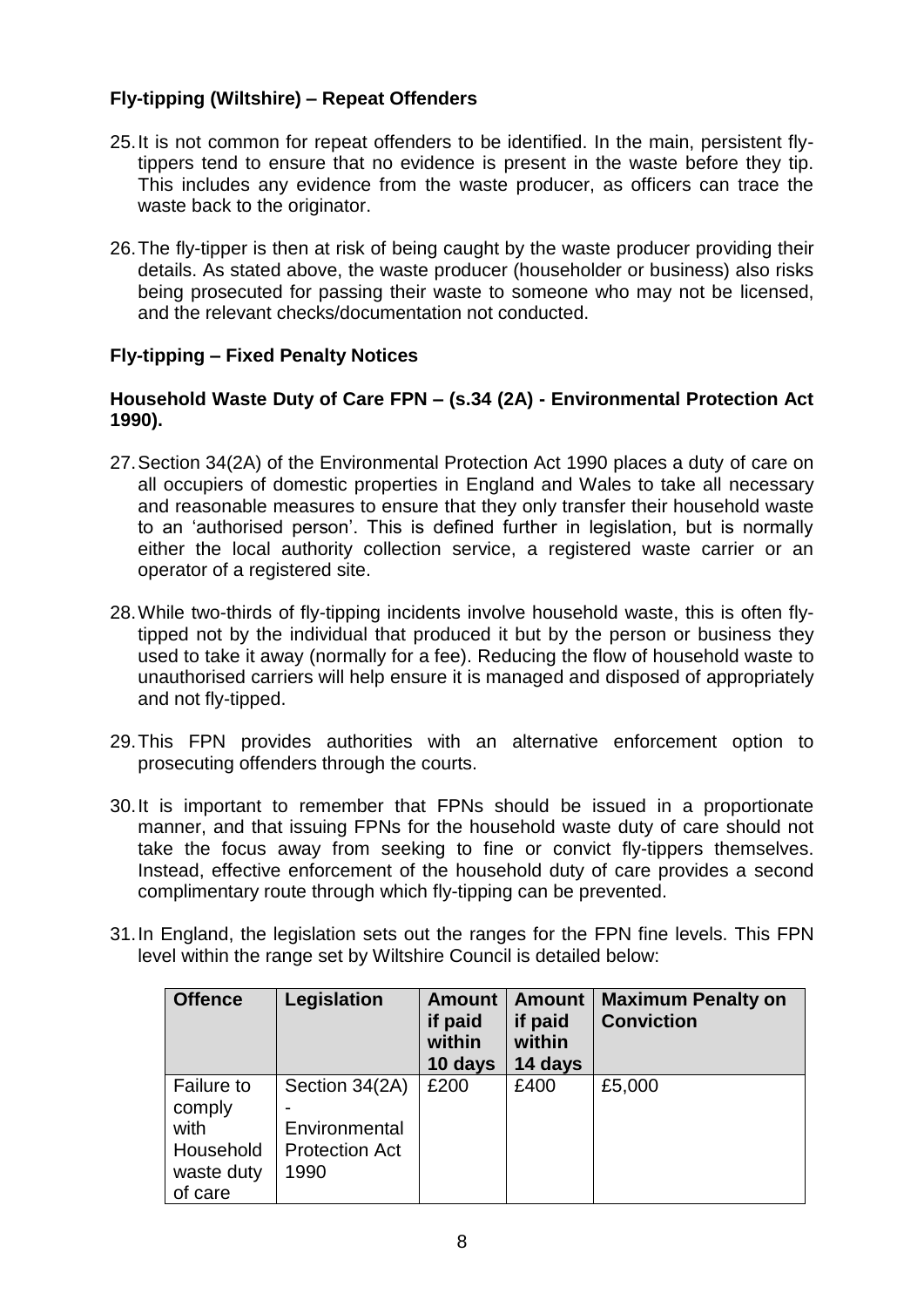# **Fly-tipping (Wiltshire) – Repeat Offenders**

- 25.It is not common for repeat offenders to be identified. In the main, persistent flytippers tend to ensure that no evidence is present in the waste before they tip. This includes any evidence from the waste producer, as officers can trace the waste back to the originator.
- 26.The fly-tipper is then at risk of being caught by the waste producer providing their details. As stated above, the waste producer (householder or business) also risks being prosecuted for passing their waste to someone who may not be licensed, and the relevant checks/documentation not conducted.

### **Fly-tipping – Fixed Penalty Notices**

### **Household Waste Duty of Care FPN – (s.34 (2A) - Environmental Protection Act 1990).**

- 27.Section 34(2A) of the Environmental Protection Act 1990 places a duty of care on all occupiers of domestic properties in England and Wales to take all necessary and reasonable measures to ensure that they only transfer their household waste to an 'authorised person'. This is defined further in legislation, but is normally either the local authority collection service, a registered waste carrier or an operator of a registered site.
- 28.While two-thirds of fly-tipping incidents involve household waste, this is often flytipped not by the individual that produced it but by the person or business they used to take it away (normally for a fee). Reducing the flow of household waste to unauthorised carriers will help ensure it is managed and disposed of appropriately and not fly-tipped.
- 29.This FPN provides authorities with an alternative enforcement option to prosecuting offenders through the courts.
- 30.It is important to remember that FPNs should be issued in a proportionate manner, and that issuing FPNs for the household waste duty of care should not take the focus away from seeking to fine or convict fly-tippers themselves. Instead, effective enforcement of the household duty of care provides a second complimentary route through which fly-tipping can be prevented.
- 31.In England, the legislation sets out the ranges for the FPN fine levels. This FPN level within the range set by Wiltshire Council is detailed below:

| <b>Offence</b>                                                            | Legislation                                                      | <b>Amount</b><br>if paid<br>within<br>10 days | <b>Amount</b><br>if paid<br>within<br>14 days | <b>Maximum Penalty on</b><br><b>Conviction</b> |
|---------------------------------------------------------------------------|------------------------------------------------------------------|-----------------------------------------------|-----------------------------------------------|------------------------------------------------|
| <b>Failure to</b><br>comply<br>with<br>Household<br>waste duty<br>of care | Section 34(2A)<br>Environmental<br><b>Protection Act</b><br>1990 | £200                                          | £400                                          | £5,000                                         |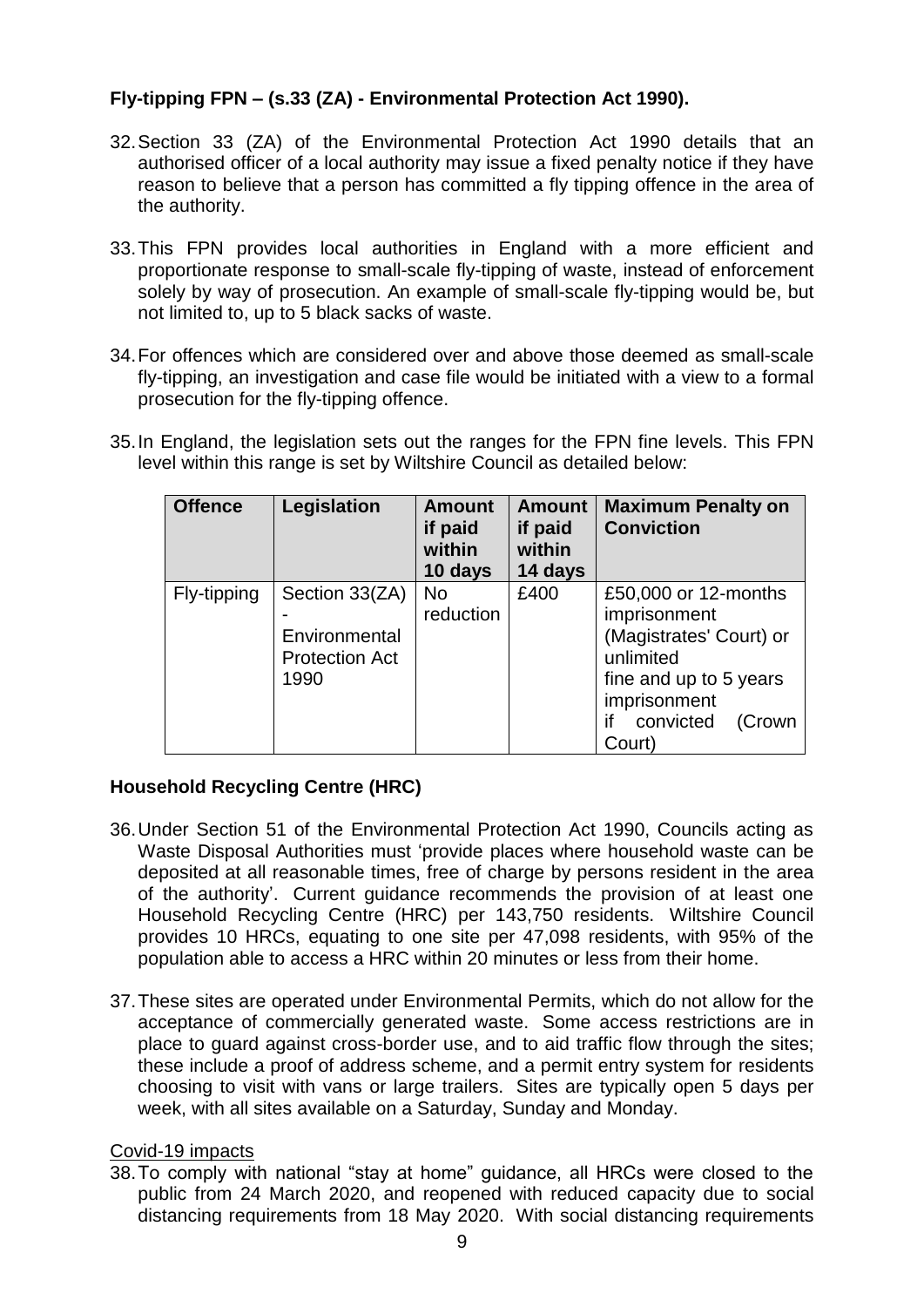# **Fly-tipping FPN – (s.33 (ZA) - Environmental Protection Act 1990).**

- 32.Section 33 (ZA) of the Environmental Protection Act 1990 details that an authorised officer of a local authority may issue a fixed penalty notice if they have reason to believe that a person has committed a fly tipping offence in the area of the authority.
- 33.This FPN provides local authorities in England with a more efficient and proportionate response to small-scale fly-tipping of waste, instead of enforcement solely by way of prosecution. An example of small-scale fly-tipping would be, but not limited to, up to 5 black sacks of waste.
- 34.For offences which are considered over and above those deemed as small-scale fly-tipping, an investigation and case file would be initiated with a view to a formal prosecution for the fly-tipping offence.
- 35.In England, the legislation sets out the ranges for the FPN fine levels. This FPN level within this range is set by Wiltshire Council as detailed below:

| <b>Offence</b> | Legislation                                                      | <b>Amount</b><br>if paid<br>within<br>10 days | <b>Amount</b><br>if paid<br>within<br>14 days | <b>Maximum Penalty on</b><br><b>Conviction</b>                                                                                                                |
|----------------|------------------------------------------------------------------|-----------------------------------------------|-----------------------------------------------|---------------------------------------------------------------------------------------------------------------------------------------------------------------|
| Fly-tipping    | Section 33(ZA)<br>Environmental<br><b>Protection Act</b><br>1990 | <b>No</b><br>reduction                        | £400                                          | £50,000 or 12-months<br>imprisonment<br>(Magistrates' Court) or<br>unlimited<br>fine and up to 5 years<br>imprisonment<br>if<br>convicted<br>(Crown<br>Court) |

## **Household Recycling Centre (HRC)**

- 36.Under Section 51 of the Environmental Protection Act 1990, Councils acting as Waste Disposal Authorities must 'provide places where household waste can be deposited at all reasonable times, free of charge by persons resident in the area of the authority'. Current guidance recommends the provision of at least one Household Recycling Centre (HRC) per 143,750 residents. Wiltshire Council provides 10 HRCs, equating to one site per 47,098 residents, with 95% of the population able to access a HRC within 20 minutes or less from their home.
- 37.These sites are operated under Environmental Permits, which do not allow for the acceptance of commercially generated waste. Some access restrictions are in place to guard against cross-border use, and to aid traffic flow through the sites; these include a proof of address scheme, and a permit entry system for residents choosing to visit with vans or large trailers. Sites are typically open 5 days per week, with all sites available on a Saturday, Sunday and Monday.

### Covid-19 impacts

38.To comply with national "stay at home" guidance, all HRCs were closed to the public from 24 March 2020, and reopened with reduced capacity due to social distancing requirements from 18 May 2020. With social distancing requirements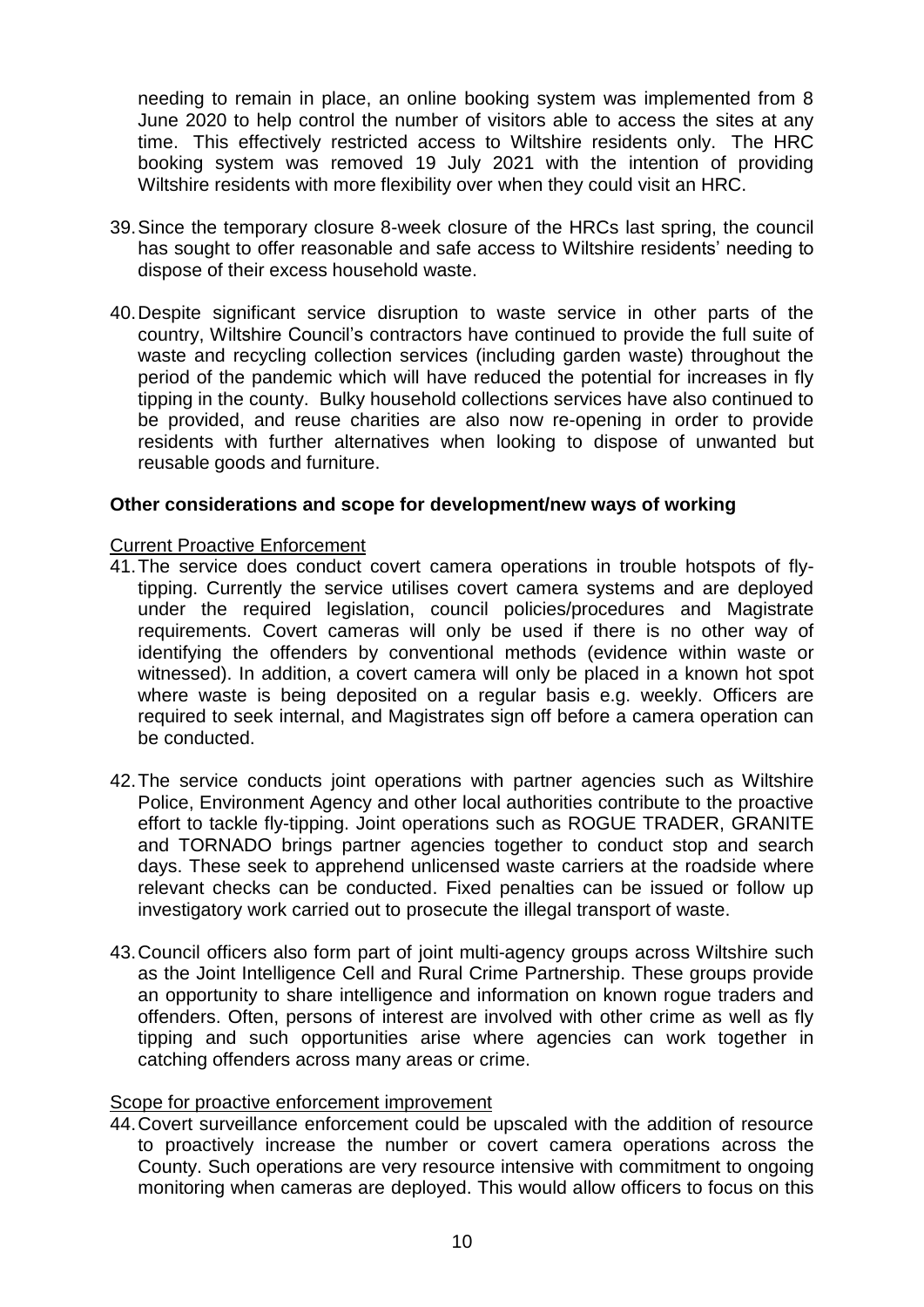needing to remain in place, an online booking system was implemented from 8 June 2020 to help control the number of visitors able to access the sites at any time. This effectively restricted access to Wiltshire residents only. The HRC booking system was removed 19 July 2021 with the intention of providing Wiltshire residents with more flexibility over when they could visit an HRC.

- 39.Since the temporary closure 8-week closure of the HRCs last spring, the council has sought to offer reasonable and safe access to Wiltshire residents' needing to dispose of their excess household waste.
- 40.Despite significant service disruption to waste service in other parts of the country, Wiltshire Council's contractors have continued to provide the full suite of waste and recycling collection services (including garden waste) throughout the period of the pandemic which will have reduced the potential for increases in fly tipping in the county. Bulky household collections services have also continued to be provided, and reuse charities are also now re-opening in order to provide residents with further alternatives when looking to dispose of unwanted but reusable goods and furniture.

### **Other considerations and scope for development/new ways of working**

#### Current Proactive Enforcement

- 41.The service does conduct covert camera operations in trouble hotspots of flytipping. Currently the service utilises covert camera systems and are deployed under the required legislation, council policies/procedures and Magistrate requirements. Covert cameras will only be used if there is no other way of identifying the offenders by conventional methods (evidence within waste or witnessed). In addition, a covert camera will only be placed in a known hot spot where waste is being deposited on a regular basis e.g. weekly. Officers are required to seek internal, and Magistrates sign off before a camera operation can be conducted.
- 42.The service conducts joint operations with partner agencies such as Wiltshire Police, Environment Agency and other local authorities contribute to the proactive effort to tackle fly-tipping. Joint operations such as ROGUE TRADER, GRANITE and TORNADO brings partner agencies together to conduct stop and search days. These seek to apprehend unlicensed waste carriers at the roadside where relevant checks can be conducted. Fixed penalties can be issued or follow up investigatory work carried out to prosecute the illegal transport of waste.
- 43.Council officers also form part of joint multi-agency groups across Wiltshire such as the Joint Intelligence Cell and Rural Crime Partnership. These groups provide an opportunity to share intelligence and information on known rogue traders and offenders. Often, persons of interest are involved with other crime as well as fly tipping and such opportunities arise where agencies can work together in catching offenders across many areas or crime.

#### Scope for proactive enforcement improvement

44.Covert surveillance enforcement could be upscaled with the addition of resource to proactively increase the number or covert camera operations across the County. Such operations are very resource intensive with commitment to ongoing monitoring when cameras are deployed. This would allow officers to focus on this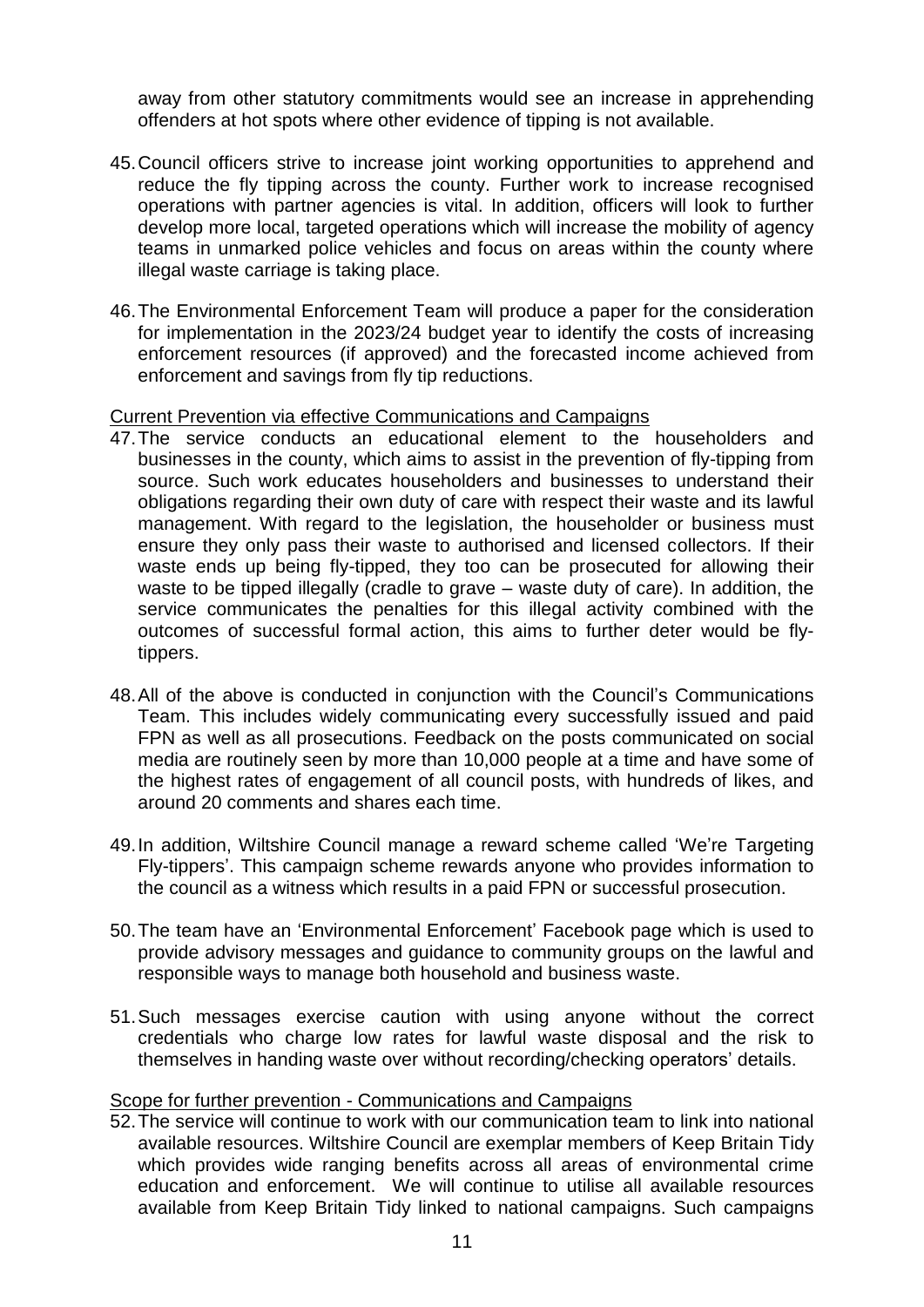away from other statutory commitments would see an increase in apprehending offenders at hot spots where other evidence of tipping is not available.

- 45.Council officers strive to increase joint working opportunities to apprehend and reduce the fly tipping across the county. Further work to increase recognised operations with partner agencies is vital. In addition, officers will look to further develop more local, targeted operations which will increase the mobility of agency teams in unmarked police vehicles and focus on areas within the county where illegal waste carriage is taking place.
- 46.The Environmental Enforcement Team will produce a paper for the consideration for implementation in the 2023/24 budget year to identify the costs of increasing enforcement resources (if approved) and the forecasted income achieved from enforcement and savings from fly tip reductions.

### Current Prevention via effective Communications and Campaigns

- 47.The service conducts an educational element to the householders and businesses in the county, which aims to assist in the prevention of fly-tipping from source. Such work educates householders and businesses to understand their obligations regarding their own duty of care with respect their waste and its lawful management. With regard to the legislation, the householder or business must ensure they only pass their waste to authorised and licensed collectors. If their waste ends up being fly-tipped, they too can be prosecuted for allowing their waste to be tipped illegally (cradle to grave – waste duty of care). In addition, the service communicates the penalties for this illegal activity combined with the outcomes of successful formal action, this aims to further deter would be flytippers.
- 48.All of the above is conducted in conjunction with the Council's Communications Team. This includes widely communicating every successfully issued and paid FPN as well as all prosecutions. Feedback on the posts communicated on social media are routinely seen by more than 10,000 people at a time and have some of the highest rates of engagement of all council posts, with hundreds of likes, and around 20 comments and shares each time.
- 49.In addition, Wiltshire Council manage a reward scheme called 'We're Targeting Fly-tippers'. This campaign scheme rewards anyone who provides information to the council as a witness which results in a paid FPN or successful prosecution.
- 50.The team have an 'Environmental Enforcement' Facebook page which is used to provide advisory messages and guidance to community groups on the lawful and responsible ways to manage both household and business waste.
- 51.Such messages exercise caution with using anyone without the correct credentials who charge low rates for lawful waste disposal and the risk to themselves in handing waste over without recording/checking operators' details.

### Scope for further prevention - Communications and Campaigns

52.The service will continue to work with our communication team to link into national available resources. Wiltshire Council are exemplar members of Keep Britain Tidy which provides wide ranging benefits across all areas of environmental crime education and enforcement. We will continue to utilise all available resources available from Keep Britain Tidy linked to national campaigns. Such campaigns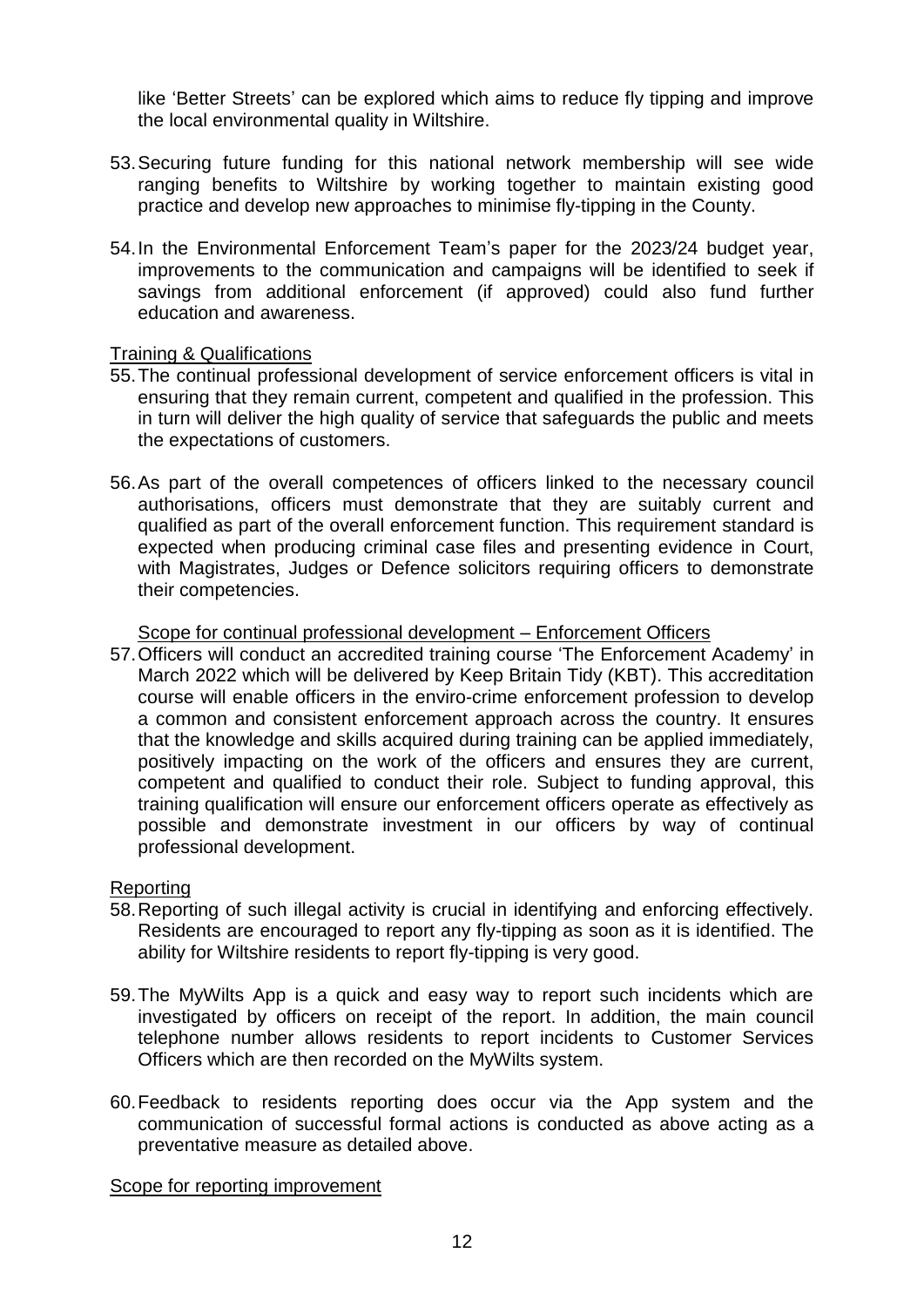like 'Better Streets' can be explored which aims to reduce fly tipping and improve the local environmental quality in Wiltshire.

- 53.Securing future funding for this national network membership will see wide ranging benefits to Wiltshire by working together to maintain existing good practice and develop new approaches to minimise fly-tipping in the County.
- 54.In the Environmental Enforcement Team's paper for the 2023/24 budget year, improvements to the communication and campaigns will be identified to seek if savings from additional enforcement (if approved) could also fund further education and awareness.

### Training & Qualifications

- 55.The continual professional development of service enforcement officers is vital in ensuring that they remain current, competent and qualified in the profession. This in turn will deliver the high quality of service that safeguards the public and meets the expectations of customers.
- 56.As part of the overall competences of officers linked to the necessary council authorisations, officers must demonstrate that they are suitably current and qualified as part of the overall enforcement function. This requirement standard is expected when producing criminal case files and presenting evidence in Court, with Magistrates, Judges or Defence solicitors requiring officers to demonstrate their competencies.

#### Scope for continual professional development – Enforcement Officers

57.Officers will conduct an accredited training course 'The Enforcement Academy' in March 2022 which will be delivered by Keep Britain Tidy (KBT). This accreditation course will enable officers in the enviro-crime enforcement profession to develop a common and consistent enforcement approach across the country. It ensures that the knowledge and skills acquired during training can be applied immediately, positively impacting on the work of the officers and ensures they are current, competent and qualified to conduct their role. Subject to funding approval, this training qualification will ensure our enforcement officers operate as effectively as possible and demonstrate investment in our officers by way of continual professional development.

### Reporting

- 58.Reporting of such illegal activity is crucial in identifying and enforcing effectively. Residents are encouraged to report any fly-tipping as soon as it is identified. The ability for Wiltshire residents to report fly-tipping is very good.
- 59.The MyWilts App is a quick and easy way to report such incidents which are investigated by officers on receipt of the report. In addition, the main council telephone number allows residents to report incidents to Customer Services Officers which are then recorded on the MyWilts system.
- 60.Feedback to residents reporting does occur via the App system and the communication of successful formal actions is conducted as above acting as a preventative measure as detailed above.

#### Scope for reporting improvement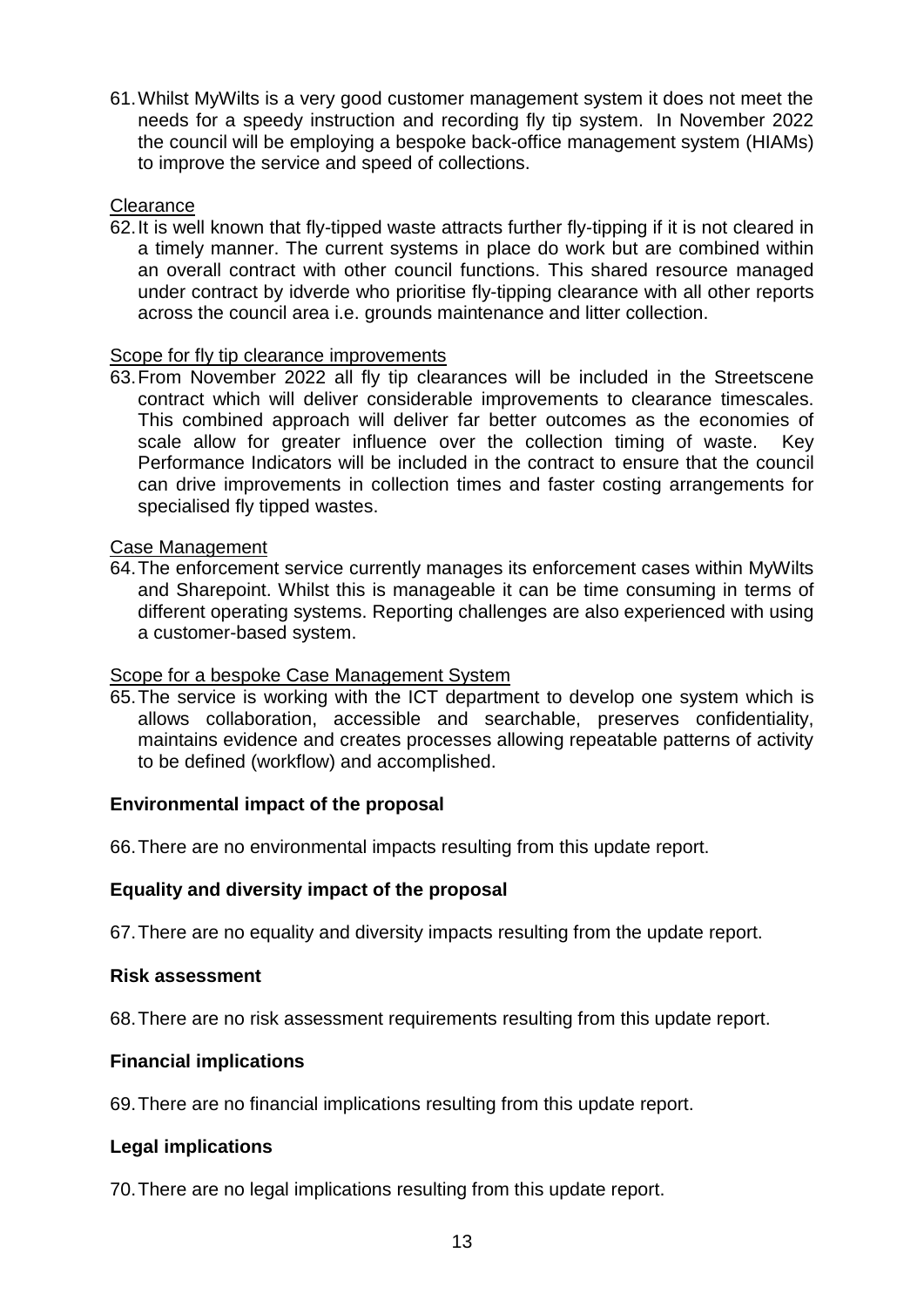61.Whilst MyWilts is a very good customer management system it does not meet the needs for a speedy instruction and recording fly tip system. In November 2022 the council will be employing a bespoke back-office management system (HIAMs) to improve the service and speed of collections.

### **Clearance**

62.It is well known that fly-tipped waste attracts further fly-tipping if it is not cleared in a timely manner. The current systems in place do work but are combined within an overall contract with other council functions. This shared resource managed under contract by idverde who prioritise fly-tipping clearance with all other reports across the council area i.e. grounds maintenance and litter collection.

#### Scope for fly tip clearance improvements

63.From November 2022 all fly tip clearances will be included in the Streetscene contract which will deliver considerable improvements to clearance timescales. This combined approach will deliver far better outcomes as the economies of scale allow for greater influence over the collection timing of waste. Key Performance Indicators will be included in the contract to ensure that the council can drive improvements in collection times and faster costing arrangements for specialised fly tipped wastes.

#### Case Management

64.The enforcement service currently manages its enforcement cases within MyWilts and Sharepoint. Whilst this is manageable it can be time consuming in terms of different operating systems. Reporting challenges are also experienced with using a customer-based system.

### Scope for a bespoke Case Management System

65.The service is working with the ICT department to develop one system which is allows collaboration, accessible and searchable, preserves confidentiality, maintains evidence and creates processes allowing repeatable patterns of activity to be defined (workflow) and accomplished.

### **Environmental impact of the proposal**

66.There are no environmental impacts resulting from this update report.

### **Equality and diversity impact of the proposal**

67.There are no equality and diversity impacts resulting from the update report.

#### **Risk assessment**

68.There are no risk assessment requirements resulting from this update report.

### **Financial implications**

69.There are no financial implications resulting from this update report.

### **Legal implications**

70.There are no legal implications resulting from this update report.